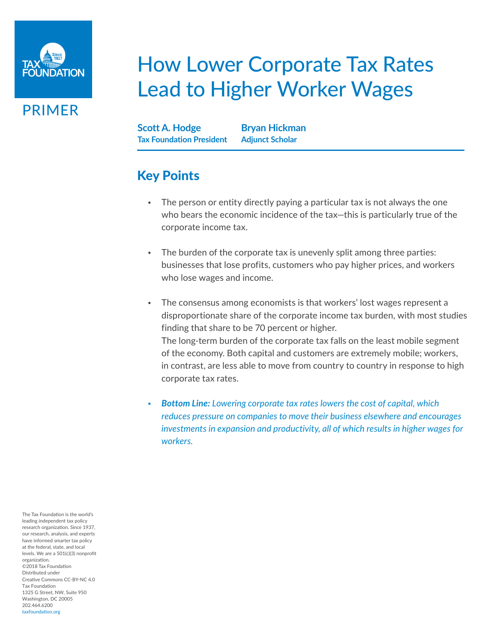

PRIMER

# How Lower Corporate Tax Rates Lead to Higher Worker Wages

**Scott A. Hodge Tax Foundation President Bryan Hickman Adjunct Scholar**

## Key Points

- The person or entity directly paying a particular tax is not always the one who bears the economic incidence of the tax—this is particularly true of the corporate income tax.
- The burden of the corporate tax is unevenly split among three parties: businesses that lose profits, customers who pay higher prices, and workers who lose wages and income.
- The consensus among economists is that workers' lost wages represent a disproportionate share of the corporate income tax burden, with most studies finding that share to be 70 percent or higher. The long-term burden of the corporate tax falls on the least mobile segment of the economy. Both capital and customers are extremely mobile; workers, in contrast, are less able to move from country to country in response to high corporate tax rates.
- *Bottom Line: Lowering corporate tax rates lowers the cost of capital, which reduces pressure on companies to move their business elsewhere and encourages investments in expansion and productivity, all of which results in higher wages for workers.*

The Tax Foundation is the world's leading independent tax policy research organization. Since 1937, our research, analysis, and experts have informed smarter tax policy at the federal, state, and local levels. We are a 501(c)(3) nonprofit organization. ©2018 Tax Foundation Distributed under Creative Commons CC-BY-NC 4.0 Tax Foundation 1325 G Street, NW, Suite 950 Washington, DC 20005 202.464.6200 taxfoundation.org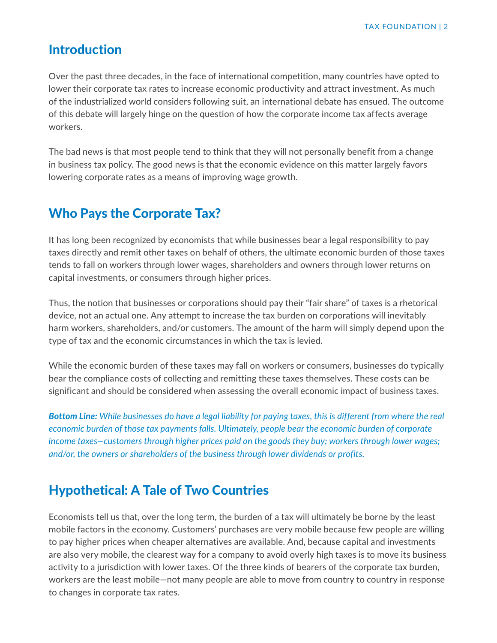#### Introduction

Over the past three decades, in the face of international competition, many countries have opted to lower their corporate tax rates to increase economic productivity and attract investment. As much of the industrialized world considers following suit, an international debate has ensued. The outcome of this debate will largely hinge on the question of how the corporate income tax affects average workers.

The bad news is that most people tend to think that they will not personally benefit from a change in business tax policy. The good news is that the economic evidence on this matter largely favors lowering corporate rates as a means of improving wage growth.

### Who Pays the Corporate Tax?

It has long been recognized by economists that while businesses bear a legal responsibility to pay taxes directly and remit other taxes on behalf of others, the ultimate economic burden of those taxes tends to fall on workers through lower wages, shareholders and owners through lower returns on capital investments, or consumers through higher prices.

Thus, the notion that businesses or corporations should pay their "fair share" of taxes is a rhetorical device, not an actual one. Any attempt to increase the tax burden on corporations will inevitably harm workers, shareholders, and/or customers. The amount of the harm will simply depend upon the type of tax and the economic circumstances in which the tax is levied.

While the economic burden of these taxes may fall on workers or consumers, businesses do typically bear the compliance costs of collecting and remitting these taxes themselves. These costs can be significant and should be considered when assessing the overall economic impact of business taxes.

*Bottom Line: While businesses do have a legal liability for paying taxes, this is different from where the real economic burden of those tax payments falls. Ultimately, people bear the economic burden of corporate income taxes—customers through higher prices paid on the goods they buy; workers through lower wages; and/or, the owners or shareholders of the business through lower dividends or profits.* 

## Hypothetical: A Tale of Two Countries

Economists tell us that, over the long term, the burden of a tax will ultimately be borne by the least mobile factors in the economy. Customers' purchases are very mobile because few people are willing to pay higher prices when cheaper alternatives are available. And, because capital and investments are also very mobile, the clearest way for a company to avoid overly high taxes is to move its business activity to a jurisdiction with lower taxes. Of the three kinds of bearers of the corporate tax burden, workers are the least mobile—not many people are able to move from country to country in response to changes in corporate tax rates.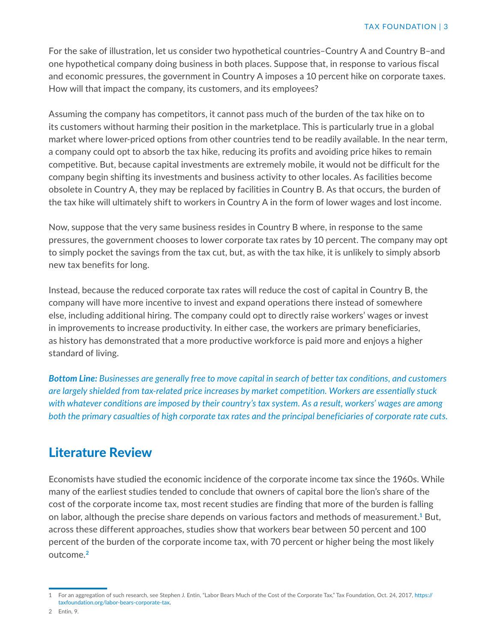For the sake of illustration, let us consider two hypothetical countries–Country A and Country B–and one hypothetical company doing business in both places. Suppose that, in response to various fiscal and economic pressures, the government in Country A imposes a 10 percent hike on corporate taxes. How will that impact the company, its customers, and its employees?

Assuming the company has competitors, it cannot pass much of the burden of the tax hike on to its customers without harming their position in the marketplace. This is particularly true in a global market where lower-priced options from other countries tend to be readily available. In the near term, a company could opt to absorb the tax hike, reducing its profits and avoiding price hikes to remain competitive. But, because capital investments are extremely mobile, it would not be difficult for the company begin shifting its investments and business activity to other locales. As facilities become obsolete in Country A, they may be replaced by facilities in Country B. As that occurs, the burden of the tax hike will ultimately shift to workers in Country A in the form of lower wages and lost income.

Now, suppose that the very same business resides in Country B where, in response to the same pressures, the government chooses to lower corporate tax rates by 10 percent. The company may opt to simply pocket the savings from the tax cut, but, as with the tax hike, it is unlikely to simply absorb new tax benefits for long.

Instead, because the reduced corporate tax rates will reduce the cost of capital in Country B, the company will have more incentive to invest and expand operations there instead of somewhere else, including additional hiring. The company could opt to directly raise workers' wages or invest in improvements to increase productivity. In either case, the workers are primary beneficiaries, as history has demonstrated that a more productive workforce is paid more and enjoys a higher standard of living.

*Bottom Line: Businesses are generally free to move capital in search of better tax conditions, and customers are largely shielded from tax-related price increases by market competition. Workers are essentially stuck with whatever conditions are imposed by their country's tax system. As a result, workers' wages are among both the primary casualties of high corporate tax rates and the principal beneficiaries of corporate rate cuts.* 

#### Literature Review

Economists have studied the economic incidence of the corporate income tax since the 1960s. While many of the earliest studies tended to conclude that owners of capital bore the lion's share of the cost of the corporate income tax, most recent studies are finding that more of the burden is falling on labor, although the precise share depends on various factors and methods of measurement.**1** But, across these different approaches, studies show that workers bear between 50 percent and 100 percent of the burden of the corporate income tax, with 70 percent or higher being the most likely outcome.**<sup>2</sup>**

<sup>1</sup> For an aggregation of such research, see Stephen J. Entin, "Labor Bears Much of the Cost of the Corporate Tax," Tax Foundation, Oct. 24, 2017, [https://](https://taxfoundation.org/labor-bears-corporate-tax) [taxfoundation.org/labor-bears-corporate-tax](https://taxfoundation.org/labor-bears-corporate-tax).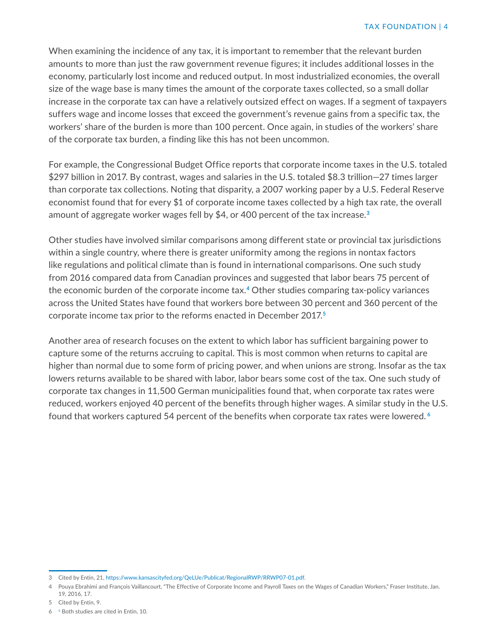When examining the incidence of any tax, it is important to remember that the relevant burden amounts to more than just the raw government revenue figures; it includes additional losses in the economy, particularly lost income and reduced output. In most industrialized economies, the overall size of the wage base is many times the amount of the corporate taxes collected, so a small dollar increase in the corporate tax can have a relatively outsized effect on wages. If a segment of taxpayers suffers wage and income losses that exceed the government's revenue gains from a specific tax, the workers' share of the burden is more than 100 percent. Once again, in studies of the workers' share of the corporate tax burden, a finding like this has not been uncommon.

For example, the Congressional Budget Office reports that corporate income taxes in the U.S. totaled \$297 billion in 2017. By contrast, wages and salaries in the U.S. totaled \$8.3 trillion—27 times larger than corporate tax collections. Noting that disparity, a 2007 working paper by a U.S. Federal Reserve economist found that for every \$1 of corporate income taxes collected by a high tax rate, the overall amount of aggregate worker wages fell by \$4, or 400 percent of the tax increase.**<sup>3</sup>**

Other studies have involved similar comparisons among different state or provincial tax jurisdictions within a single country, where there is greater uniformity among the regions in nontax factors like regulations and political climate than is found in international comparisons. One such study from 2016 compared data from Canadian provinces and suggested that labor bears 75 percent of the economic burden of the corporate income tax.**4** Other studies comparing tax-policy variances across the United States have found that workers bore between 30 percent and 360 percent of the corporate income tax prior to the reforms enacted in December 2017.**<sup>5</sup>**

Another area of research focuses on the extent to which labor has sufficient bargaining power to capture some of the returns accruing to capital. This is most common when returns to capital are higher than normal due to some form of pricing power, and when unions are strong. Insofar as the tax lowers returns available to be shared with labor, labor bears some cost of the tax. One such study of corporate tax changes in 11,500 German municipalities found that, when corporate tax rates were reduced, workers enjoyed 40 percent of the benefits through higher wages. A similar study in the U.S. found that workers captured 54 percent of the benefits when corporate tax rates were lowered. **<sup>6</sup>**

<sup>3</sup> Cited by Entin, 21, [https://www.kansascityfed.org/QeLUe/Publicat/RegionalRWP/RRWP07-01.pdf.](https://www.kansascityfed.org/QeLUe/Publicat/RegionalRWP/RRWP07-01.pdf)

<sup>4</sup> Pouya Ebrahimi and François Vaillancourt, "The Effective of Corporate Income and Payroll Taxes on the Wages of Canadian Workers," Fraser Institute, Jan. 19, 2016, 17.

<sup>5</sup> Cited by Entin, 9.

<sup>6</sup> 6 Both studies are cited in Entin, 10.